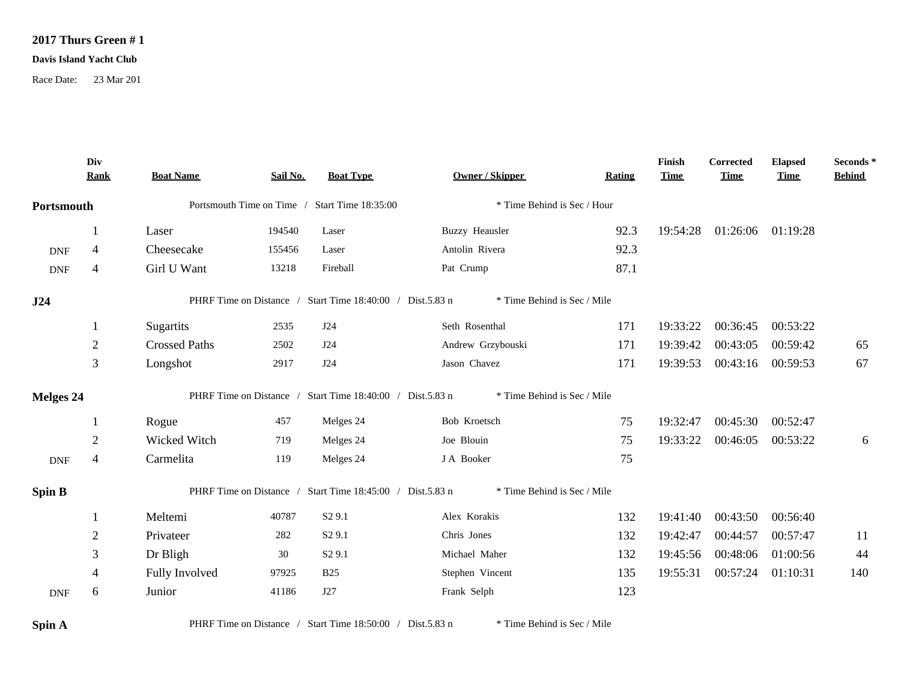## **2017 Thurs Green # 1**

## **Davis Island Yacht Club**

Race Date: 23 Mar 201

|               | Div<br><b>Rank</b> | <b>Boat Name</b>                              | Sail No. | <b>Boat Type</b>                                          | <b>Owner / Skipper</b>      | <b>Rating</b> | Finish<br><b>Time</b> | Corrected<br><b>Time</b> | <b>Elapsed</b><br><b>Time</b> | Seconds*<br><b>Behind</b> |
|---------------|--------------------|-----------------------------------------------|----------|-----------------------------------------------------------|-----------------------------|---------------|-----------------------|--------------------------|-------------------------------|---------------------------|
| Portsmouth    |                    | Portsmouth Time on Time / Start Time 18:35:00 |          |                                                           | * Time Behind is Sec / Hour |               |                       |                          |                               |                           |
|               | 1                  | Laser                                         | 194540   | Laser                                                     | <b>Buzzy Heausler</b>       | 92.3          | 19:54:28              | 01:26:06 01:19:28        |                               |                           |
| <b>DNF</b>    | $\overline{4}$     | Cheesecake                                    | 155456   | Laser                                                     | Antolin Rivera              | 92.3          |                       |                          |                               |                           |
| <b>DNF</b>    | $\overline{4}$     | Girl U Want                                   | 13218    | Fireball                                                  | Pat Crump                   | 87.1          |                       |                          |                               |                           |
| J24           |                    |                                               |          | PHRF Time on Distance / Start Time 18:40:00 / Dist.5.83 n | * Time Behind is Sec / Mile |               |                       |                          |                               |                           |
|               | 1                  | Sugartits                                     | 2535     | J24                                                       | Seth Rosenthal              | 171           | 19:33:22              | 00:36:45                 | 00:53:22                      |                           |
|               | $\overline{2}$     | <b>Crossed Paths</b>                          | 2502     | J24                                                       | Andrew Grzybouski           | 171           | 19:39:42              | 00:43:05                 | 00:59:42                      | 65                        |
|               | $\mathfrak{Z}$     | Longshot                                      | 2917     | J24                                                       | Jason Chavez                | 171           | 19:39:53              | 00:43:16                 | 00:59:53                      | 67                        |
| Melges 24     |                    |                                               |          | PHRF Time on Distance / Start Time 18:40:00 / Dist.5.83 n | * Time Behind is Sec / Mile |               |                       |                          |                               |                           |
|               |                    | Rogue                                         | 457      | Melges 24                                                 | Bob Kroetsch                | 75            | 19:32:47              | 00:45:30                 | 00:52:47                      |                           |
|               | $\overline{2}$     | Wicked Witch                                  | 719      | Melges 24                                                 | Joe Blouin                  | 75            | 19:33:22              | 00:46:05                 | 00:53:22                      | 6                         |
| <b>DNF</b>    | $\overline{4}$     | Carmelita                                     | 119      | Melges 24                                                 | J A Booker                  | 75            |                       |                          |                               |                           |
| <b>Spin B</b> |                    |                                               |          | PHRF Time on Distance / Start Time 18:45:00 / Dist.5.83 n | * Time Behind is Sec / Mile |               |                       |                          |                               |                           |
|               |                    | Meltemi                                       | 40787    | S <sub>2</sub> 9.1                                        | Alex Korakis                | 132           | 19:41:40              | 00:43:50                 | 00:56:40                      |                           |
|               | $\overline{2}$     | Privateer                                     | 282      | S <sub>2</sub> 9.1                                        | Chris Jones                 | 132           | 19:42:47              | 00:44:57                 | 00:57:47                      | 11                        |
|               | 3                  | Dr Bligh                                      | 30       | S <sub>2</sub> 9.1                                        | Michael Maher               | 132           | 19:45:56              | 00:48:06                 | 01:00:56                      | 44                        |
|               | $\overline{4}$     | Fully Involved                                | 97925    | <b>B25</b>                                                | Stephen Vincent             | 135           | 19:55:31              | 00:57:24                 | 01:10:31                      | 140                       |
| <b>DNF</b>    | 6                  | Junior                                        | 41186    | J27                                                       | Frank Selph                 | 123           |                       |                          |                               |                           |
|               |                    |                                               |          |                                                           |                             |               |                       |                          |                               |                           |

**Spin A** PHRF Time on Distance / Start Time 18:50:00 / Dist.5.83 n \* Time Behind is Sec / Mile